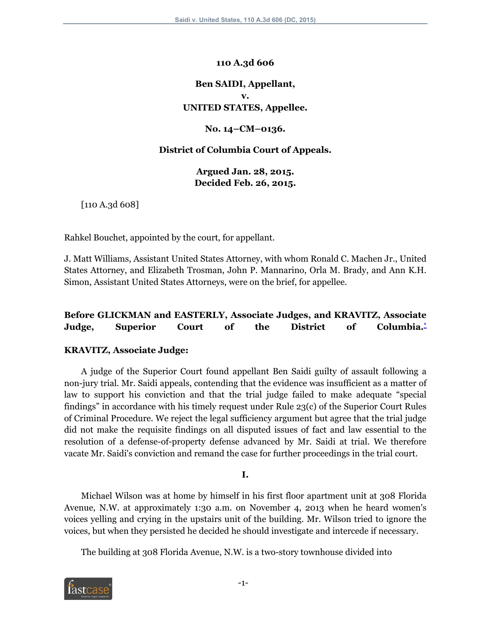#### **110 A.3d 606**

# **Ben SAIDI, Appellant, v. UNITED STATES, Appellee.**

#### **No. 14–CM–0136.**

#### **District of Columbia Court of Appeals.**

**Argued Jan. 28, 2015. Decided Feb. 26, 2015.**

[110 A.3d 608]

Rahkel Bouchet, appointed by the court, for appellant.

J. Matt Williams, Assistant United States Attorney, with whom Ronald C. Machen Jr., United States Attorney, and Elizabeth Trosman, John P. Mannarino, Orla M. Brady, and Ann K.H. Simon, Assistant United States Attorneys, were on the brief, for appellee.

## **Before GLICKMAN and EASTERLY, Associate Judges, and KRAVITZ, Associate Judge, Superior Court of the District of Columbia.[\\*](#page-8-0)**

## **KRAVITZ, Associate Judge:**

A judge of the Superior Court found appellant Ben Saidi guilty of assault following a non-jury trial. Mr. Saidi appeals, contending that the evidence was insufficient as a matter of law to support his conviction and that the trial judge failed to make adequate "special findings" in accordance with his timely request under Rule 23(c) of the Superior Court Rules of Criminal Procedure. We reject the legal sufficiency argument but agree that the trial judge did not make the requisite findings on all disputed issues of fact and law essential to the resolution of a defense-of-property defense advanced by Mr. Saidi at trial. We therefore vacate Mr. Saidi's conviction and remand the case for further proceedings in the trial court.

<span id="page-0-0"></span>**I.**

Michael Wilson was at home by himself in his first floor apartment unit at 308 Florida Avenue, N.W. at approximately 1:30 a.m. on November 4, 2013 when he heard women's voices yelling and crying in the upstairs unit of the building. Mr. Wilson tried to ignore the voices, but when they persisted he decided he should investigate and intercede if necessary.

The building at 308 Florida Avenue, N.W. is a two-story townhouse divided into

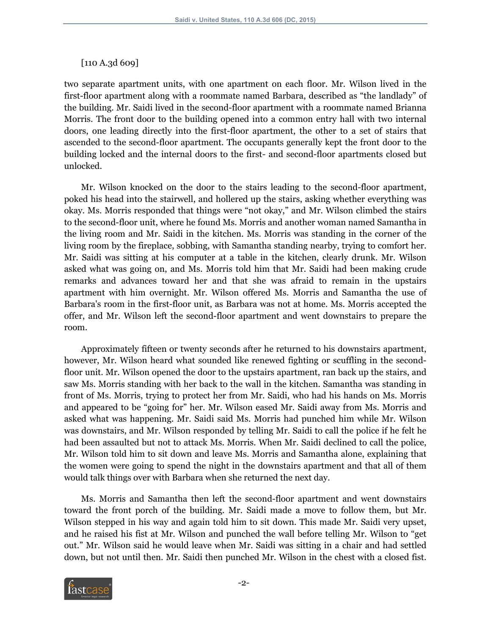#### [110 A.3d 609]

two separate apartment units, with one apartment on each floor. Mr. Wilson lived in the first-floor apartment along with a roommate named Barbara, described as "the landlady" of the building. Mr. Saidi lived in the second-floor apartment with a roommate named Brianna Morris. The front door to the building opened into a common entry hall with two internal doors, one leading directly into the first-floor apartment, the other to a set of stairs that ascended to the second-floor apartment. The occupants generally kept the front door to the building locked and the internal doors to the first- and second-floor apartments closed but unlocked.

Mr. Wilson knocked on the door to the stairs leading to the second-floor apartment, poked his head into the stairwell, and hollered up the stairs, asking whether everything was okay. Ms. Morris responded that things were "not okay," and Mr. Wilson climbed the stairs to the second-floor unit, where he found Ms. Morris and another woman named Samantha in the living room and Mr. Saidi in the kitchen. Ms. Morris was standing in the corner of the living room by the fireplace, sobbing, with Samantha standing nearby, trying to comfort her. Mr. Saidi was sitting at his computer at a table in the kitchen, clearly drunk. Mr. Wilson asked what was going on, and Ms. Morris told him that Mr. Saidi had been making crude remarks and advances toward her and that she was afraid to remain in the upstairs apartment with him overnight. Mr. Wilson offered Ms. Morris and Samantha the use of Barbara's room in the first-floor unit, as Barbara was not at home. Ms. Morris accepted the offer, and Mr. Wilson left the second-floor apartment and went downstairs to prepare the room.

Approximately fifteen or twenty seconds after he returned to his downstairs apartment, however, Mr. Wilson heard what sounded like renewed fighting or scuffling in the secondfloor unit. Mr. Wilson opened the door to the upstairs apartment, ran back up the stairs, and saw Ms. Morris standing with her back to the wall in the kitchen. Samantha was standing in front of Ms. Morris, trying to protect her from Mr. Saidi, who had his hands on Ms. Morris and appeared to be "going for" her. Mr. Wilson eased Mr. Saidi away from Ms. Morris and asked what was happening. Mr. Saidi said Ms. Morris had punched him while Mr. Wilson was downstairs, and Mr. Wilson responded by telling Mr. Saidi to call the police if he felt he had been assaulted but not to attack Ms. Morris. When Mr. Saidi declined to call the police, Mr. Wilson told him to sit down and leave Ms. Morris and Samantha alone, explaining that the women were going to spend the night in the downstairs apartment and that all of them would talk things over with Barbara when she returned the next day.

Ms. Morris and Samantha then left the second-floor apartment and went downstairs toward the front porch of the building. Mr. Saidi made a move to follow them, but Mr. Wilson stepped in his way and again told him to sit down. This made Mr. Saidi very upset, and he raised his fist at Mr. Wilson and punched the wall before telling Mr. Wilson to "get out." Mr. Wilson said he would leave when Mr. Saidi was sitting in a chair and had settled down, but not until then. Mr. Saidi then punched Mr. Wilson in the chest with a closed fist.

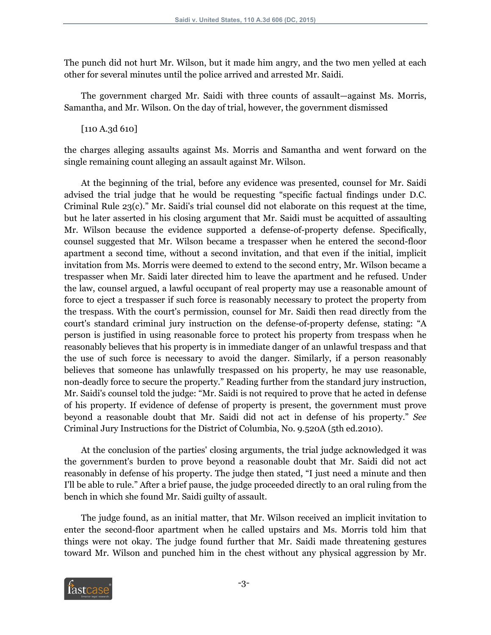The punch did not hurt Mr. Wilson, but it made him angry, and the two men yelled at each other for several minutes until the police arrived and arrested Mr. Saidi.

The government charged Mr. Saidi with three counts of assault—against Ms. Morris, Samantha, and Mr. Wilson. On the day of trial, however, the government dismissed

[110 A.3d 610]

the charges alleging assaults against Ms. Morris and Samantha and went forward on the single remaining count alleging an assault against Mr. Wilson.

At the beginning of the trial, before any evidence was presented, counsel for Mr. Saidi advised the trial judge that he would be requesting "specific factual findings under D.C. Criminal Rule 23(c)." Mr. Saidi's trial counsel did not elaborate on this request at the time, but he later asserted in his closing argument that Mr. Saidi must be acquitted of assaulting Mr. Wilson because the evidence supported a defense-of-property defense. Specifically, counsel suggested that Mr. Wilson became a trespasser when he entered the second-floor apartment a second time, without a second invitation, and that even if the initial, implicit invitation from Ms. Morris were deemed to extend to the second entry, Mr. Wilson became a trespasser when Mr. Saidi later directed him to leave the apartment and he refused. Under the law, counsel argued, a lawful occupant of real property may use a reasonable amount of force to eject a trespasser if such force is reasonably necessary to protect the property from the trespass. With the court's permission, counsel for Mr. Saidi then read directly from the court's standard criminal jury instruction on the defense-of-property defense, stating: "A person is justified in using reasonable force to protect his property from trespass when he reasonably believes that his property is in immediate danger of an unlawful trespass and that the use of such force is necessary to avoid the danger. Similarly, if a person reasonably believes that someone has unlawfully trespassed on his property, he may use reasonable, non-deadly force to secure the property." Reading further from the standard jury instruction, Mr. Saidi's counsel told the judge: "Mr. Saidi is not required to prove that he acted in defense of his property. If evidence of defense of property is present, the government must prove beyond a reasonable doubt that Mr. Saidi did not act in defense of his property." *See* Criminal Jury Instructions for the District of Columbia, No. 9.520A (5th ed.2010).

At the conclusion of the parties' closing arguments, the trial judge acknowledged it was the government's burden to prove beyond a reasonable doubt that Mr. Saidi did not act reasonably in defense of his property. The judge then stated, "I just need a minute and then I'll be able to rule." After a brief pause, the judge proceeded directly to an oral ruling from the bench in which she found Mr. Saidi guilty of assault.

The judge found, as an initial matter, that Mr. Wilson received an implicit invitation to enter the second-floor apartment when he called upstairs and Ms. Morris told him that things were not okay. The judge found further that Mr. Saidi made threatening gestures toward Mr. Wilson and punched him in the chest without any physical aggression by Mr.

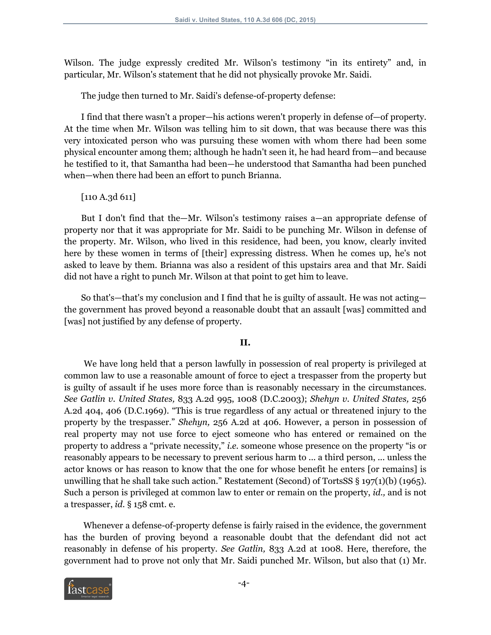Wilson. The judge expressly credited Mr. Wilson's testimony "in its entirety" and, in particular, Mr. Wilson's statement that he did not physically provoke Mr. Saidi.

The judge then turned to Mr. Saidi's defense-of-property defense:

I find that there wasn't a proper—his actions weren't properly in defense of—of property. At the time when Mr. Wilson was telling him to sit down, that was because there was this very intoxicated person who was pursuing these women with whom there had been some physical encounter among them; although he hadn't seen it, he had heard from—and because he testified to it, that Samantha had been—he understood that Samantha had been punched when—when there had been an effort to punch Brianna.

## [110 A.3d 611]

But I don't find that the—Mr. Wilson's testimony raises a—an appropriate defense of property nor that it was appropriate for Mr. Saidi to be punching Mr. Wilson in defense of the property. Mr. Wilson, who lived in this residence, had been, you know, clearly invited here by these women in terms of [their] expressing distress. When he comes up, he's not asked to leave by them. Brianna was also a resident of this upstairs area and that Mr. Saidi did not have a right to punch Mr. Wilson at that point to get him to leave.

So that's—that's my conclusion and I find that he is guilty of assault. He was not acting the government has proved beyond a reasonable doubt that an assault [was] committed and [was] not justified by any defense of property.

## **II.**

We have long held that a person lawfully in possession of real property is privileged at common law to use a reasonable amount of force to eject a trespasser from the property but is guilty of assault if he uses more force than is reasonably necessary in the circumstances. *See Gatlin v. United States,* 833 A.2d 995, 1008 (D.C.2003); *Shehyn v. United States,* 256 A.2d 404, 406 (D.C.1969). "This is true regardless of any actual or threatened injury to the property by the trespasser." *Shehyn,* 256 A.2d at 406. However, a person in possession of real property may not use force to eject someone who has entered or remained on the property to address a "private necessity," *i.e.* someone whose presence on the property "is or reasonably appears to be necessary to prevent serious harm to ... a third person, ... unless the actor knows or has reason to know that the one for whose benefit he enters [or remains] is unwilling that he shall take such action." Restatement (Second) of TortsSS  $\S 197(1)(b)$  (1965). Such a person is privileged at common law to enter or remain on the property, *id.,* and is not a trespasser, *id.* § 158 cmt. e.

Whenever a defense-of-property defense is fairly raised in the evidence, the government has the burden of proving beyond a reasonable doubt that the defendant did not act reasonably in defense of his property. *See Gatlin,* 833 A.2d at 1008. Here, therefore, the government had to prove not only that Mr. Saidi punched Mr. Wilson, but also that (1) Mr.

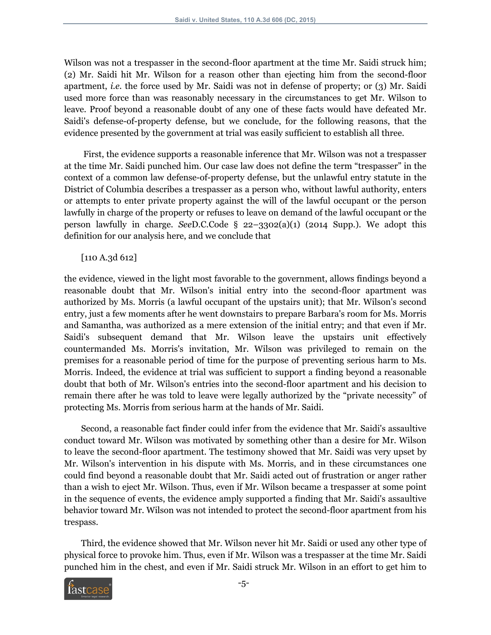Wilson was not a trespasser in the second-floor apartment at the time Mr. Saidi struck him; (2) Mr. Saidi hit Mr. Wilson for a reason other than ejecting him from the second-floor apartment, *i.e.* the force used by Mr. Saidi was not in defense of property; or (3) Mr. Saidi used more force than was reasonably necessary in the circumstances to get Mr. Wilson to leave. Proof beyond a reasonable doubt of any one of these facts would have defeated Mr. Saidi's defense-of-property defense, but we conclude, for the following reasons, that the evidence presented by the government at trial was easily sufficient to establish all three.

First, the evidence supports a reasonable inference that Mr. Wilson was not a trespasser at the time Mr. Saidi punched him. Our case law does not define the term "trespasser" in the context of a common law defense-of-property defense, but the unlawful entry statute in the District of Columbia describes a trespasser as a person who, without lawful authority, enters or attempts to enter private property against the will of the lawful occupant or the person lawfully in charge of the property or refuses to leave on demand of the lawful occupant or the person lawfully in charge. *See*D.C.Code § 22–3302(a)(1) (2014 Supp.). We adopt this definition for our analysis here, and we conclude that

[110 A.3d 612]

the evidence, viewed in the light most favorable to the government, allows findings beyond a reasonable doubt that Mr. Wilson's initial entry into the second-floor apartment was authorized by Ms. Morris (a lawful occupant of the upstairs unit); that Mr. Wilson's second entry, just a few moments after he went downstairs to prepare Barbara's room for Ms. Morris and Samantha, was authorized as a mere extension of the initial entry; and that even if Mr. Saidi's subsequent demand that Mr. Wilson leave the upstairs unit effectively countermanded Ms. Morris's invitation, Mr. Wilson was privileged to remain on the premises for a reasonable period of time for the purpose of preventing serious harm to Ms. Morris. Indeed, the evidence at trial was sufficient to support a finding beyond a reasonable doubt that both of Mr. Wilson's entries into the second-floor apartment and his decision to remain there after he was told to leave were legally authorized by the "private necessity" of protecting Ms. Morris from serious harm at the hands of Mr. Saidi.

Second, a reasonable fact finder could infer from the evidence that Mr. Saidi's assaultive conduct toward Mr. Wilson was motivated by something other than a desire for Mr. Wilson to leave the second-floor apartment. The testimony showed that Mr. Saidi was very upset by Mr. Wilson's intervention in his dispute with Ms. Morris, and in these circumstances one could find beyond a reasonable doubt that Mr. Saidi acted out of frustration or anger rather than a wish to eject Mr. Wilson. Thus, even if Mr. Wilson became a trespasser at some point in the sequence of events, the evidence amply supported a finding that Mr. Saidi's assaultive behavior toward Mr. Wilson was not intended to protect the second-floor apartment from his trespass.

Third, the evidence showed that Mr. Wilson never hit Mr. Saidi or used any other type of physical force to provoke him. Thus, even if Mr. Wilson was a trespasser at the time Mr. Saidi punched him in the chest, and even if Mr. Saidi struck Mr. Wilson in an effort to get him to

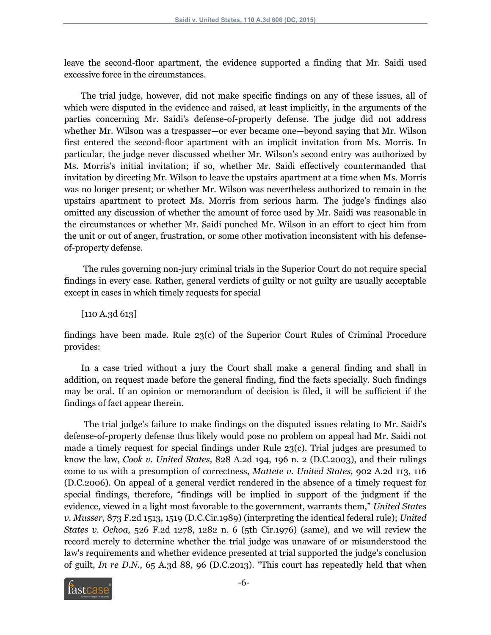leave the second-floor apartment, the evidence supported a finding that Mr. Saidi used excessive force in the circumstances.

The trial judge, however, did not make specific findings on any of these issues, all of which were disputed in the evidence and raised, at least implicitly, in the arguments of the parties concerning Mr. Saidi's defense-of-property defense. The judge did not address whether Mr. Wilson was a trespasser—or ever became one—beyond saying that Mr. Wilson first entered the second-floor apartment with an implicit invitation from Ms. Morris. In particular, the judge never discussed whether Mr. Wilson's second entry was authorized by Ms. Morris's initial invitation; if so, whether Mr. Saidi effectively countermanded that invitation by directing Mr. Wilson to leave the upstairs apartment at a time when Ms. Morris was no longer present; or whether Mr. Wilson was nevertheless authorized to remain in the upstairs apartment to protect Ms. Morris from serious harm. The judge's findings also omitted any discussion of whether the amount of force used by Mr. Saidi was reasonable in the circumstances or whether Mr. Saidi punched Mr. Wilson in an effort to eject him from the unit or out of anger, frustration, or some other motivation inconsistent with his defenseof-property defense.

The rules governing non-jury criminal trials in the Superior Court do not require special findings in every case. Rather, general verdicts of guilty or not guilty are usually acceptable except in cases in which timely requests for special

[110 A.3d 613]

findings have been made. Rule 23(c) of the Superior Court Rules of Criminal Procedure provides:

In a case tried without a jury the Court shall make a general finding and shall in addition, on request made before the general finding, find the facts specially. Such findings may be oral. If an opinion or memorandum of decision is filed, it will be sufficient if the findings of fact appear therein.

The trial judge's failure to make findings on the disputed issues relating to Mr. Saidi's defense-of-property defense thus likely would pose no problem on appeal had Mr. Saidi not made a timely request for special findings under Rule 23(c). Trial judges are presumed to know the law, *Cook v. United States,* 828 A.2d 194, 196 n. 2 (D.C.2003), and their rulings come to us with a presumption of correctness, *Mattete v. United States,* 902 A.2d 113, 116 (D.C.2006). On appeal of a general verdict rendered in the absence of a timely request for special findings, therefore, "findings will be implied in support of the judgment if the evidence, viewed in a light most favorable to the government, warrants them," *United States v. Musser,* 873 F.2d 1513, 1519 (D.C.Cir.1989) (interpreting the identical federal rule); *United States v. Ochoa,* 526 F.2d 1278, 1282 n. 6 (5th Cir.1976) (same), and we will review the record merely to determine whether the trial judge was unaware of or misunderstood the law's requirements and whether evidence presented at trial supported the judge's conclusion of guilt, *In re D.N.,* 65 A.3d 88, 96 (D.C.2013). "This court has repeatedly held that when

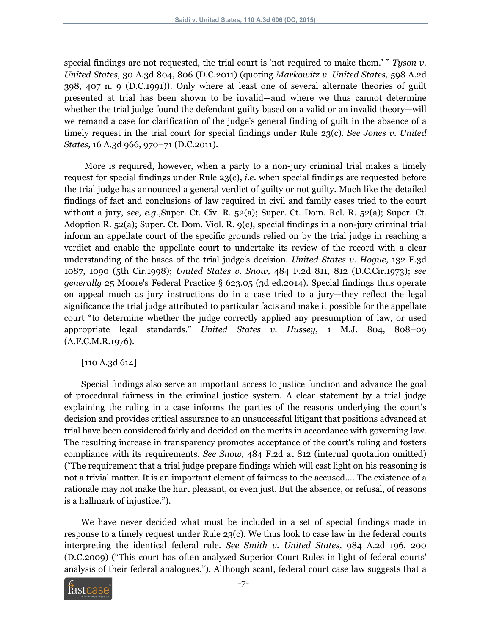special findings are not requested, the trial court is 'not required to make them.' " *Tyson v. United States,* 30 A.3d 804, 806 (D.C.2011) (quoting *Markowitz v. United States,* 598 A.2d 398, 407 n. 9 (D.C.1991)). Only where at least one of several alternate theories of guilt presented at trial has been shown to be invalid—and where we thus cannot determine whether the trial judge found the defendant guilty based on a valid or an invalid theory—will we remand a case for clarification of the judge's general finding of guilt in the absence of a timely request in the trial court for special findings under Rule 23(c). *See Jones v. United States,* 16 A.3d 966, 970–71 (D.C.2011).

More is required, however, when a party to a non-jury criminal trial makes a timely request for special findings under Rule 23(c), *i.e.* when special findings are requested before the trial judge has announced a general verdict of guilty or not guilty. Much like the detailed findings of fact and conclusions of law required in civil and family cases tried to the court without a jury, *see, e.g.,*Super. Ct. Civ. R. 52(a); Super. Ct. Dom. Rel. R. 52(a); Super. Ct. Adoption R. 52(a); Super. Ct. Dom. Viol. R. 9(c), special findings in a non-jury criminal trial inform an appellate court of the specific grounds relied on by the trial judge in reaching a verdict and enable the appellate court to undertake its review of the record with a clear understanding of the bases of the trial judge's decision. *United States v. Hogue,* 132 F.3d 1087, 1090 (5th Cir.1998); *United States v. Snow,* 484 F.2d 811, 812 (D.C.Cir.1973); *see generally* 25 Moore's Federal Practice § 623.05 (3d ed.2014). Special findings thus operate on appeal much as jury instructions do in a case tried to a jury—they reflect the legal significance the trial judge attributed to particular facts and make it possible for the appellate court "to determine whether the judge correctly applied any presumption of law, or used appropriate legal standards." *United States v. Hussey,* 1 M.J. 804, 808–09 (A.F.C.M.R.1976).

## [110 A.3d 614]

Special findings also serve an important access to justice function and advance the goal of procedural fairness in the criminal justice system. A clear statement by a trial judge explaining the ruling in a case informs the parties of the reasons underlying the court's decision and provides critical assurance to an unsuccessful litigant that positions advanced at trial have been considered fairly and decided on the merits in accordance with governing law. The resulting increase in transparency promotes acceptance of the court's ruling and fosters compliance with its requirements. *See Snow,* 484 F.2d at 812 (internal quotation omitted) ("The requirement that a trial judge prepare findings which will cast light on his reasoning is not a trivial matter. It is an important element of fairness to the accused.... The existence of a rationale may not make the hurt pleasant, or even just. But the absence, or refusal, of reasons is a hallmark of injustice.").

We have never decided what must be included in a set of special findings made in response to a timely request under Rule 23(c). We thus look to case law in the federal courts interpreting the identical federal rule. *See Smith v. United States,* 984 A.2d 196, 200 (D.C.2009) ("This court has often analyzed Superior Court Rules in light of federal courts' analysis of their federal analogues."). Although scant, federal court case law suggests that a

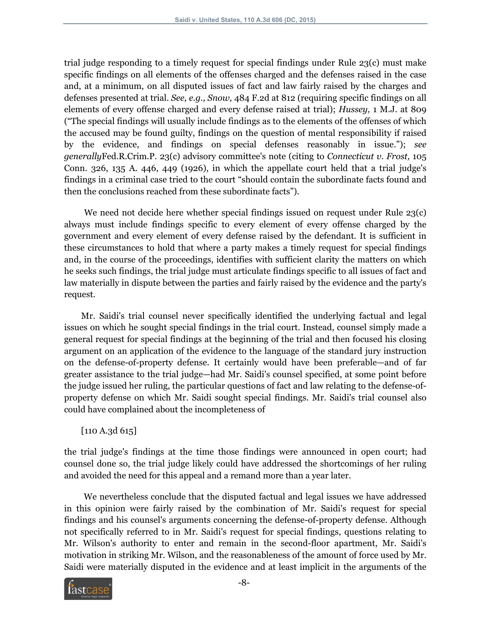trial judge responding to a timely request for special findings under Rule 23(c) must make specific findings on all elements of the offenses charged and the defenses raised in the case and, at a minimum, on all disputed issues of fact and law fairly raised by the charges and defenses presented at trial. *See, e.g., Snow,* 484 F.2d at 812 (requiring specific findings on all elements of every offense charged and every defense raised at trial); *Hussey,* 1 M.J. at 809 ("The special findings will usually include findings as to the elements of the offenses of which the accused may be found guilty, findings on the question of mental responsibility if raised by the evidence, and findings on special defenses reasonably in issue."); *see generally*Fed.R.Crim.P. 23(c) advisory committee's note (citing to *Connecticut v. Frost,* 105 Conn. 326, 135 A. 446, 449 (1926), in which the appellate court held that a trial judge's findings in a criminal case tried to the court "should contain the subordinate facts found and then the conclusions reached from these subordinate facts").

We need not decide here whether special findings issued on request under Rule 23(c) always must include findings specific to every element of every offense charged by the government and every element of every defense raised by the defendant. It is sufficient in these circumstances to hold that where a party makes a timely request for special findings and, in the course of the proceedings, identifies with sufficient clarity the matters on which he seeks such findings, the trial judge must articulate findings specific to all issues of fact and law materially in dispute between the parties and fairly raised by the evidence and the party's request.

Mr. Saidi's trial counsel never specifically identified the underlying factual and legal issues on which he sought special findings in the trial court. Instead, counsel simply made a general request for special findings at the beginning of the trial and then focused his closing argument on an application of the evidence to the language of the standard jury instruction on the defense-of-property defense. It certainly would have been preferable—and of far greater assistance to the trial judge—had Mr. Saidi's counsel specified, at some point before the judge issued her ruling, the particular questions of fact and law relating to the defense-ofproperty defense on which Mr. Saidi sought special findings. Mr. Saidi's trial counsel also could have complained about the incompleteness of

[110 A.3d 615]

the trial judge's findings at the time those findings were announced in open court; had counsel done so, the trial judge likely could have addressed the shortcomings of her ruling and avoided the need for this appeal and a remand more than a year later.

We nevertheless conclude that the disputed factual and legal issues we have addressed in this opinion were fairly raised by the combination of Mr. Saidi's request for special findings and his counsel's arguments concerning the defense-of-property defense. Although not specifically referred to in Mr. Saidi's request for special findings, questions relating to Mr. Wilson's authority to enter and remain in the second-floor apartment, Mr. Saidi's motivation in striking Mr. Wilson, and the reasonableness of the amount of force used by Mr. Saidi were materially disputed in the evidence and at least implicit in the arguments of the